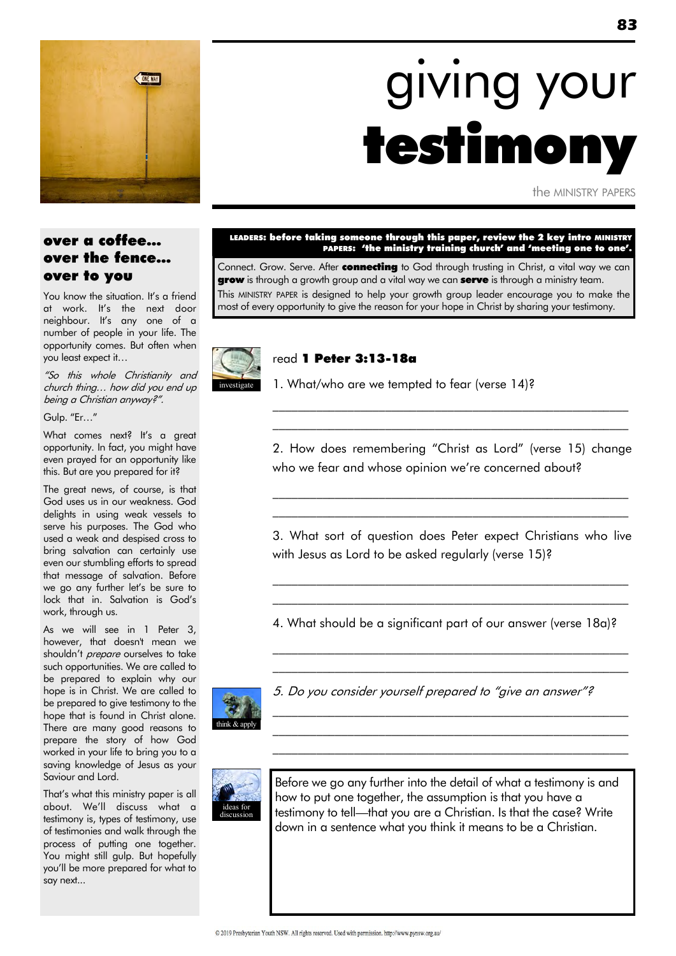

# giving your testimony

the MINISTRY PAPERS

### over a coffee… over the fence… over to you

You know the situation. It's a friend at work. It's the next door neighbour. It's any one of a number of people in your life. The opportunity comes. But often when you least expect it…

"So this whole Christianity and church thing… how did you end up being a Christian anyway?".

Gulp. "Er..."

What comes next? It's a great opportunity. In fact, you might have even prayed for an opportunity like this. But are you prepared for it?

The great news, of course, is that God uses us in our weakness. God delights in using weak vessels to serve his purposes. The God who used a weak and despised cross to bring salvation can certainly use even our stumbling efforts to spread that message of salvation. Before we go any further let's be sure to lock that in. Salvation is God's work, through us.

As we will see in 1 Peter 3, however, that doesn't mean we shouldn't *prepare* ourselves to take such opportunities. We are called to be prepared to explain why our hope is in Christ. We are called to be prepared to give testimony to the hope that is found in Christ alone. There are many good reasons to prepare the story of how God worked in your life to bring you to a saving knowledge of Jesus as your Saviour and Lord.

That's what this ministry paper is all about. We'll discuss what a testimony is, types of testimony, use of testimonies and walk through the process of putting one together. You might still gulp. But hopefully you'll be more prepared for what to say next...

#### LEADERS: before taking someone through this paper, review the 2 key intro MINISTRY PAPERS: 'the ministry training church' and 'meeting one to one'.

Connect. Grow. Serve. After connecting to God through trusting in Christ, a vital way we can grow is through a growth group and a vital way we can serve is through a ministry team. This MINISTRY PAPER is designed to help your growth group leader encourage you to make the most of every opportunity to give the reason for your hope in Christ by sharing your testimony.



#### read 1 Peter 3:13-18a

1. What/who are we tempted to fear (verse 14)?

2. How does remembering "Christ as Lord" (verse 15) change who we fear and whose opinion we're concerned about?

\_\_\_\_\_\_\_\_\_\_\_\_\_\_\_\_\_\_\_\_\_\_\_\_\_\_\_\_\_\_\_\_\_\_\_\_\_\_\_\_\_\_\_\_\_\_\_\_\_\_\_\_\_\_\_\_\_  $\mathcal{L}_\text{max}$  and the contract of the contract of the contract of the contract of the contract of the contract of

 $\mathcal{L}_\text{max}$  and the contract of the contract of the contract of the contract of the contract of the contract of \_\_\_\_\_\_\_\_\_\_\_\_\_\_\_\_\_\_\_\_\_\_\_\_\_\_\_\_\_\_\_\_\_\_\_\_\_\_\_\_\_\_\_\_\_\_\_\_\_\_\_\_\_\_\_\_\_

3. What sort of question does Peter expect Christians who live with Jesus as Lord to be asked regularly (verse 15)?

 $\mathcal{L}_\text{max}$  and the contract of the contract of the contract of the contract of the contract of the contract of  $\mathcal{L}_\text{max}$  and the contract of the contract of the contract of the contract of the contract of the contract of

4. What should be a significant part of our answer (verse 18a)?

\_\_\_\_\_\_\_\_\_\_\_\_\_\_\_\_\_\_\_\_\_\_\_\_\_\_\_\_\_\_\_\_\_\_\_\_\_\_\_\_\_\_\_\_\_\_\_\_\_\_\_\_\_\_\_\_\_  $\mathcal{L}_\text{max}$  and the contract of the contract of the contract of the contract of the contract of the contract of

\_\_\_\_\_\_\_\_\_\_\_\_\_\_\_\_\_\_\_\_\_\_\_\_\_\_\_\_\_\_\_\_\_\_\_\_\_\_\_\_\_\_\_\_\_\_\_\_\_\_\_\_\_\_\_\_\_  $\mathcal{L}_\text{max}$  and the contract of the contract of the contract of the contract of the contract of the contract of \_\_\_\_\_\_\_\_\_\_\_\_\_\_\_\_\_\_\_\_\_\_\_\_\_\_\_\_\_\_\_\_\_\_\_\_\_\_\_\_\_\_\_\_\_\_\_\_\_\_\_\_\_\_\_\_\_



5. Do you consider yourself prepared to "aive an answer"?



Before we go any further into the detail of what a testimony is and how to put one together, the assumption is that you have a testimony to tell—that you are a Christian. Is that the case? Write down in a sentence what you think it means to be a Christian.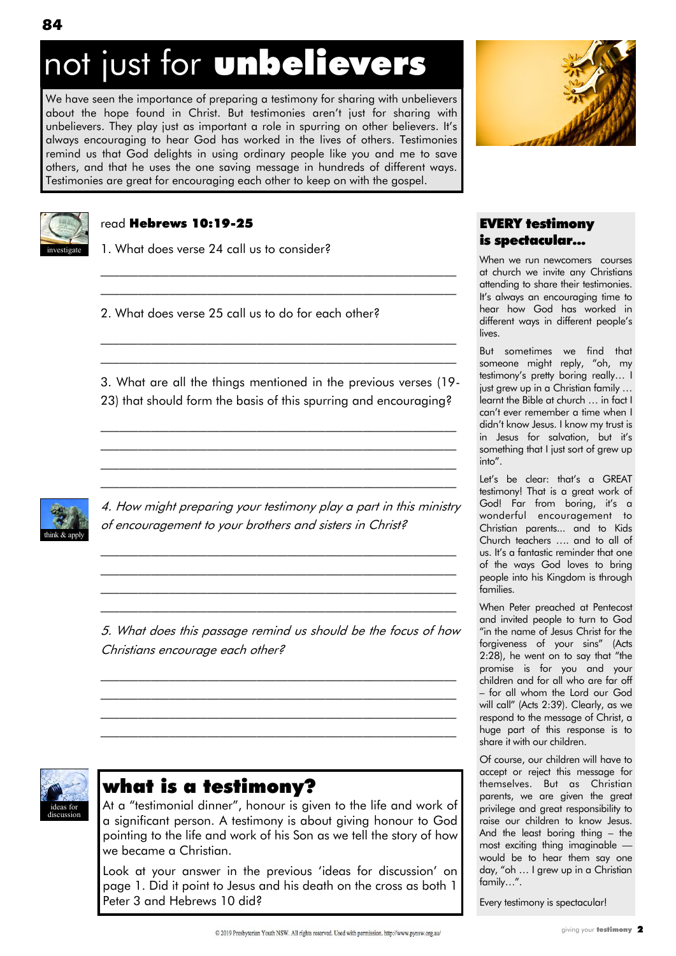# not just for **unbelievers**

We have seen the importance of preparing a testimony for sharing with unbelievers about the hope found in Christ. But testimonies aren't just for sharing with unbelievers. They play just as important a role in spurring on other believers. It's always encouraging to hear God has worked in the lives of others. Testimonies remind us that God delights in using ordinary people like you and me to save others, and that he uses the one saving message in hundreds of different ways. Testimonies are great for encouraging each other to keep on with the gospel.



### read Hebrews 10:19-25

1. What does verse 24 call us to consider?

2. What does verse 25 call us to do for each other?

3. What are all the things mentioned in the previous verses (19- 23) that should form the basis of this spurring and encouraging?

\_\_\_\_\_\_\_\_\_\_\_\_\_\_\_\_\_\_\_\_\_\_\_\_\_\_\_\_\_\_\_\_\_\_\_\_\_\_\_\_\_\_\_\_\_\_\_\_\_\_\_\_\_\_\_\_\_ \_\_\_\_\_\_\_\_\_\_\_\_\_\_\_\_\_\_\_\_\_\_\_\_\_\_\_\_\_\_\_\_\_\_\_\_\_\_\_\_\_\_\_\_\_\_\_\_\_\_\_\_\_\_\_\_\_ \_\_\_\_\_\_\_\_\_\_\_\_\_\_\_\_\_\_\_\_\_\_\_\_\_\_\_\_\_\_\_\_\_\_\_\_\_\_\_\_\_\_\_\_\_\_\_\_\_\_\_\_\_\_\_\_\_ \_\_\_\_\_\_\_\_\_\_\_\_\_\_\_\_\_\_\_\_\_\_\_\_\_\_\_\_\_\_\_\_\_\_\_\_\_\_\_\_\_\_\_\_\_\_\_\_\_\_\_\_\_\_\_\_\_

 $\mathcal{L}_\text{max}$  and the contract of the contract of the contract of the contract of the contract of the contract of  $\mathcal{L}_\text{max}$  and the contract of the contract of the contract of the contract of the contract of the contract of

 $\mathcal{L}_\text{max}$  and the contract of the contract of the contract of the contract of the contract of the contract of  $\mathcal{L}_\text{max}$  and the contract of the contract of the contract of the contract of the contract of the contract of



4. How might preparing your testimony play a part in this ministry of encouragement to your brothers and sisters in Christ?

 $\mathcal{L}_\text{max}$  and the contract of the contract of the contract of the contract of the contract of the contract of  $\mathcal{L}_\text{max}$  and the contract of the contract of the contract of the contract of the contract of the contract of  $\mathcal{L}_\text{max}$  and the contract of the contract of the contract of the contract of the contract of the contract of  $\mathcal{L}_\text{max}$  and the contract of the contract of the contract of the contract of the contract of the contract of

5. What does this passage remind us should be the focus of how Christians encourage each other?

 $\mathcal{L}_\text{max}$  and the contract of the contract of the contract of the contract of the contract of the contract of \_\_\_\_\_\_\_\_\_\_\_\_\_\_\_\_\_\_\_\_\_\_\_\_\_\_\_\_\_\_\_\_\_\_\_\_\_\_\_\_\_\_\_\_\_\_\_\_\_\_\_\_\_\_\_\_\_  $\mathcal{L}_\text{max}$  and the contract of the contract of the contract of the contract of the contract of the contract of \_\_\_\_\_\_\_\_\_\_\_\_\_\_\_\_\_\_\_\_\_\_\_\_\_\_\_\_\_\_\_\_\_\_\_\_\_\_\_\_\_\_\_\_\_\_\_\_\_\_\_\_\_\_\_\_\_



### what is a testimony?

At a "testimonial dinner", honour is given to the life and work of a significant person. A testimony is about giving honour to God pointing to the life and work of his Son as we tell the story of how we became a Christian.

Look at your answer in the previous 'ideas for discussion' on page 1. Did it point to Jesus and his death on the cross as both 1 Peter 3 and Hebrews 10 did?



### EVERY testimony is spectacular...

When we run newcomers courses at church we invite any Christians attending to share their testimonies. It's always an encouraging time to hear how God has worked in different ways in different people's lives.

But sometimes we find that someone might reply, "oh, my testimony's pretty boring really… I just grew up in a Christian family … learnt the Bible at church … in fact I can't ever remember a time when I didn't know Jesus. I know my trust is in Jesus for salvation, but it's something that I just sort of grew up into".

Let's be clear: that's a GREAT testimony! That is a great work of God! Far from boring, it's a wonderful encouragement to Christian parents... and to Kids Church teachers …. and to all of us. It's a fantastic reminder that one of the ways God loves to bring people into his Kingdom is through families.

When Peter preached at Pentecost and invited people to turn to God "in the name of Jesus Christ for the forgiveness of your sins" (Acts  $2:28$ ), he went on to say that "the promise is for you and your children and for all who are far off – for all whom the Lord our God will call" (Acts 2:39). Clearly, as we respond to the message of Christ, a huge part of this response is to share it with our children.

Of course, our children will have to accept or reject this message for themselves. But as Christian parents, we are given the great privilege and great responsibility to raise our children to know Jesus. And the least boring thing – the most exciting thing imaginable would be to hear them say one day, "oh ... I grew up in a Christian family...".

Every testimony is spectacular!

**84**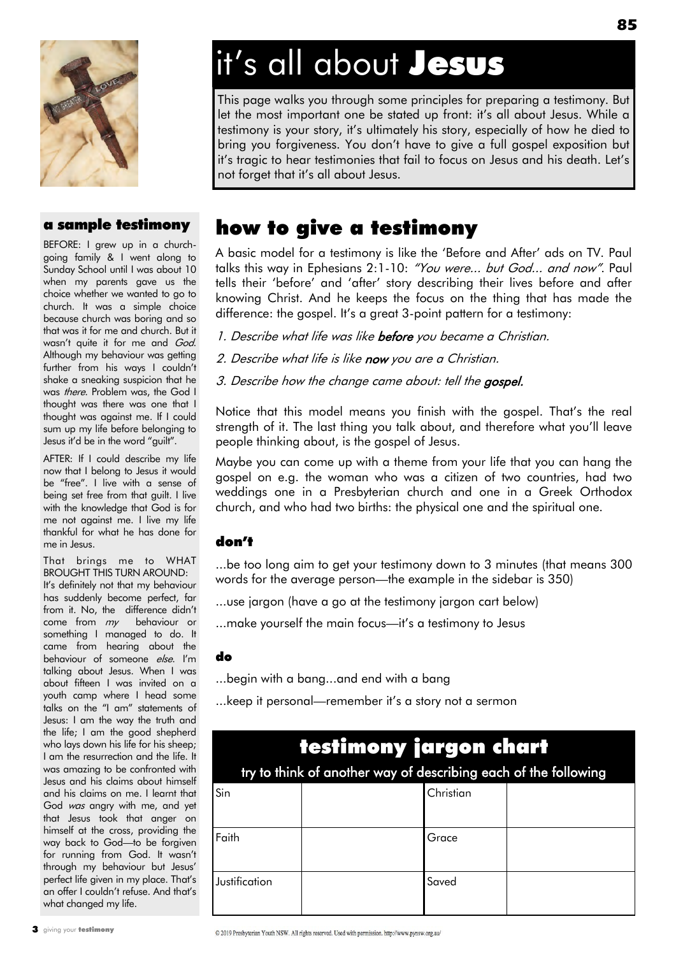### a sample testimony

BEFORE: I grew up in a churchgoing family & I went along to Sunday School until I was about 10 when my parents gave us the choice whether we wanted to go to church. It was a simple choice because church was boring and so that was it for me and church. But it wasn't quite it for me and God. Although my behaviour was getting further from his ways I couldn't shake a sneaking suspicion that he was there. Problem was, the God I thought was there was one that I thought was against me. If I could sum up my life before belonging to Jesus it'd be in the word "guilt".

AFTER: If I could describe my life now that I belong to Jesus it would be "free". I live with a sense of being set free from that guilt. I live with the knowledge that God is for me not against me. I live my life thankful for what he has done for me in Jesus.

That brings me to WHAT BROUGHT THIS TURN AROUND: It's definitely not that my behaviour has suddenly become perfect, far from it. No, the difference didn't come from my behaviour or something I managed to do. It came from hearing about the behaviour of someone else. I'm talking about Jesus. When I was about fifteen I was invited on a youth camp where I head some talks on the "I am" statements of Jesus: I am the way the truth and the life; I am the good shepherd who lays down his life for his sheep; I am the resurrection and the life. It was amazing to be confronted with Jesus and his claims about himself and his claims on me. I learnt that God was angry with me, and yet that Jesus took that anger on himself at the cross, providing the way back to God—to be forgiven for running from God. It wasn't through my behaviour but Jesus' perfect life given in my place. That's an offer I couldn't refuse. And that's what changed my life.

# it's all about **Jesus**

This page walks you through some principles for preparing a testimony. But let the most important one be stated up front: it's all about Jesus. While a testimony is your story, it's ultimately his story, especially of how he died to bring you forgiveness. You don't have to give a full gospel exposition but it's tragic to hear testimonies that fail to focus on Jesus and his death. Let's not forget that it's all about Jesus.

### how to give a testimony

A basic model for a testimony is like the 'Before and After' ads on TV. Paul talks this way in Ephesians 2:1-10: "You were... but God... and now". Paul tells their 'before' and 'after' story describing their lives before and after knowing Christ. And he keeps the focus on the thing that has made the difference: the gospel. It's a great 3-point pattern for a testimony:

1. Describe what life was like before you became a Christian.

- 2. Describe what life is like now you are a Christian.
- 3. Describe how the change came about: tell the gospel.

Notice that this model means you finish with the gospel. That's the real strength of it. The last thing you talk about, and therefore what you'll leave people thinking about, is the gospel of Jesus.

Maybe you can come up with a theme from your life that you can hang the gospel on e.g. the woman who was a citizen of two countries, had two weddings one in a Presbyterian church and one in a Greek Orthodox church, and who had two births: the physical one and the spiritual one.

### don't

...be too long aim to get your testimony down to 3 minutes (that means 300 words for the average person—the example in the sidebar is 350)

- ...use jargon (have a go at the testimony jargon cart below)
- ...make yourself the main focus—it's a testimony to Jesus

#### do

- ...begin with a bang...and end with a bang
- ...keep it personal—remember it's a story not a sermon

| testimony jargon chart<br>try to think of another way of describing each of the following |  |           |  |
|-------------------------------------------------------------------------------------------|--|-----------|--|
| Sin                                                                                       |  | Christian |  |
| Faith                                                                                     |  | Grace     |  |
| Justification                                                                             |  | Saved     |  |